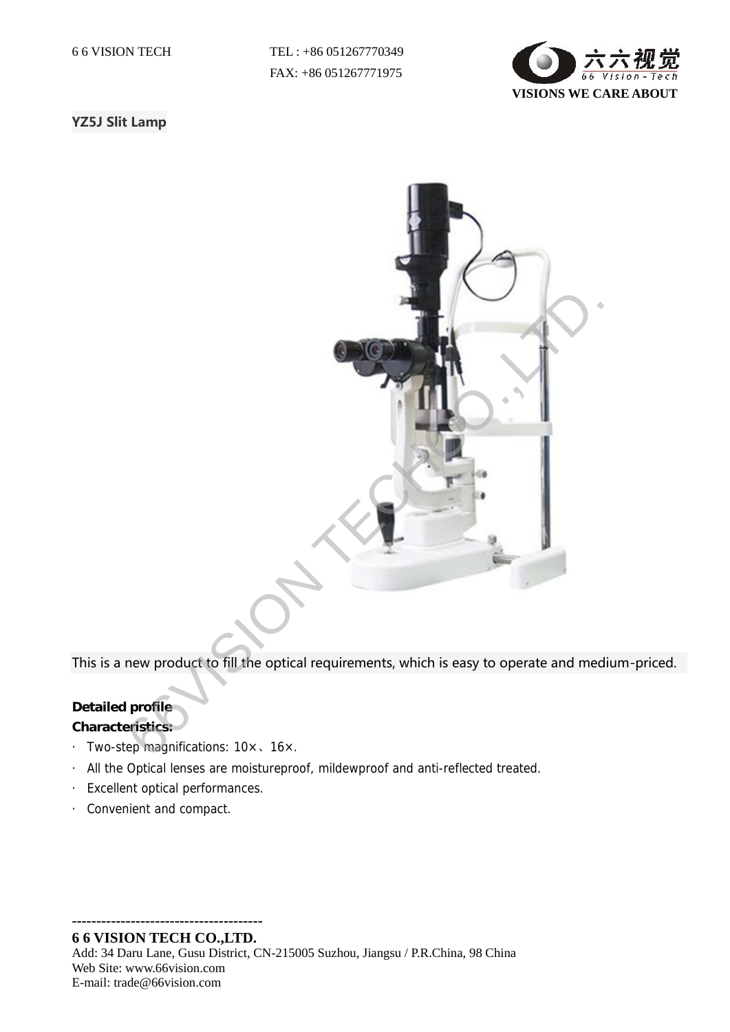6 6 VISION TECH TEL : +86 051267770349 FAX: +86 051267771975



## YZ5J Slit Lamp



This is a new product to fill the optical requirements, which is easy to operate and medium-priced.

## **Detailed profile**

**Characteristics:**

- · Two-step magnifications: 10×、16×.
- · All the Optical lenses are moistureproof, mildewproof and anti-reflected treated.
- · Excellent optical performances.
- · Convenient and compact.

**--------------------------------------- 6 6 VISION TECH CO.,LTD.**

Add: 34 Daru Lane, Gusu District, CN-215005 Suzhou, Jiangsu / P.R.China, 98 China Web Site: www.66vision.com E-mail: trade@66vision.com